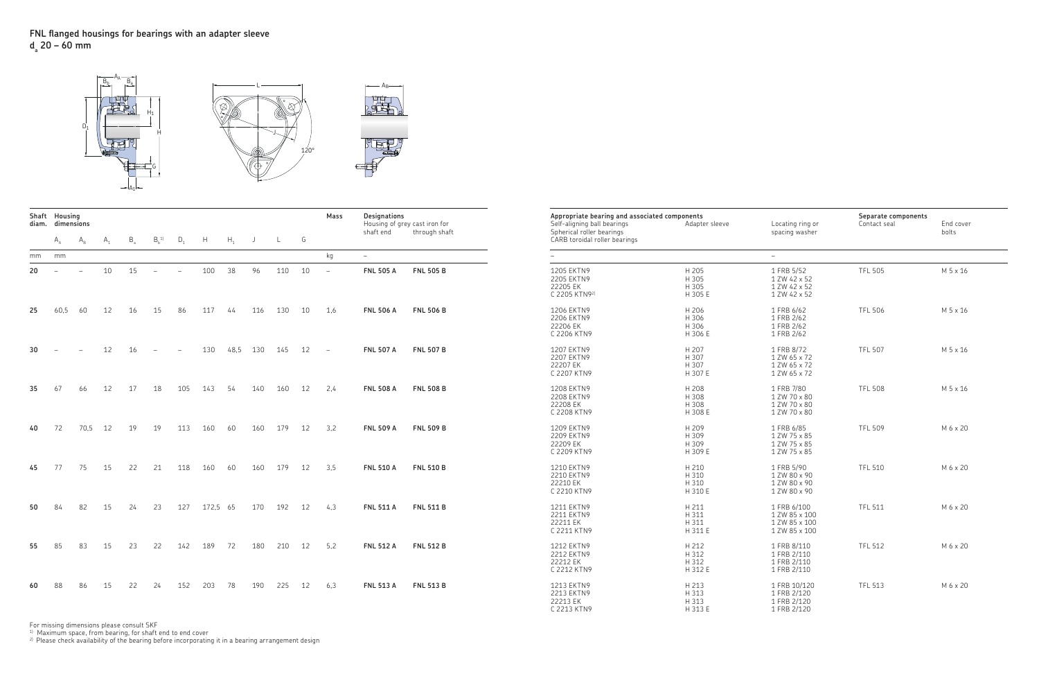## **FNL fl anged housings for bearings with an adapter sleeve da 20 – 60 mm**

|        | Shaft Housing<br>diam. dimensions |                                     |               |        |                      |              |        |        |    |                                                       |               | Mass | Designations<br>Housing of grey cast iron for |                  | Appropriate bearing and associated components<br>Self-aligning ball bearings | Adapter sleeve                     | Locating ring or                                               | Separate components<br>Contact seal | End cover |
|--------|-----------------------------------|-------------------------------------|---------------|--------|----------------------|--------------|--------|--------|----|-------------------------------------------------------|---------------|------|-----------------------------------------------|------------------|------------------------------------------------------------------------------|------------------------------------|----------------------------------------------------------------|-------------------------------------|-----------|
|        |                                   | $A_{\rm A}$ $A_{\rm B}$ $A_{\rm 1}$ |               |        |                      |              |        |        |    | $B_1$ , $B_2$ , $D_1$ , $H$ , $H_1$ , $J$ , $L$ , $G$ |               |      | shaft end                                     | through shaft    | Spherical roller bearings<br>CARB toroidal roller bearings                   |                                    | spacing washer                                                 |                                     | bolts     |
|        | mm mm                             |                                     |               |        |                      |              |        |        |    |                                                       |               | kg   | $\equiv$                                      |                  |                                                                              |                                    |                                                                |                                     |           |
|        |                                   | $20 - - -$                          |               |        | $10 \t 15 \t - \t -$ |              |        | 100 38 | 96 |                                                       | $110 \t 10 -$ |      | <b>FNL 505 A</b>                              | <b>FNL 505 B</b> | 1205 EKTN9<br>2205 EKTN9<br>22205 EK<br>C 2205 KTN92)                        | H 205<br>H 305<br>H 305<br>H 305 E | 1 FRB 5/52<br>1 ZW 42 x 52<br>1 ZW 42 x 52<br>1 ZW 42 x 52     | <b>TFL 505</b>                      | M 5 x 16  |
| 25     | 60.5 60                           |                                     | 12            | 16     | 15                   | 86           | 117    | 44     |    | 116 130 10 1,6                                        |               |      | <b>FNL 506 A</b>                              | <b>FNL 506 B</b> | 1206 EKTN9<br>2206 EKTN9<br>22206 EK<br>C 2206 KTN9                          | H 206<br>H 306<br>H 306<br>H 306 E | 1 FRB 6/62<br>1 FRB 2/62<br>1 FRB 2/62<br>1 FRB 2/62           | <b>TFL 506</b>                      | M 5 x 16  |
| $30 -$ |                                   | $\sim$ $-$                          | 12            | $16 -$ |                      | $\sim$ $-$   | 130    |        |    | 48.5 130 145 12 -                                     |               |      | <b>FNL 507 A</b>                              | <b>FNL 507 B</b> | 1207 EKTN9<br>2207 EKTN9<br>22207 EK<br>C 2207 KTN9                          | H 207<br>H 307<br>H 307<br>H 307 E | 1 FRB 8/72<br>1 ZW 65 x 72<br>1 ZW 65 x 72<br>1 ZW 65 x 72     | <b>TFL 507</b>                      | M 5 x 16  |
| 35     | 67                                | 66                                  | 12            | 17 18  |                      | 105 143 54   |        |        |    | 140 160 12                                            |               | 2.4  | <b>FNL 508 A</b>                              | <b>FNL 508 B</b> | 1208 EKTN9<br>2208 EKTN9<br>22208 EK<br>C 2208 KTN9                          | H 208<br>H 308<br>H 308<br>H 308 E | 1 FRB 7/80<br>1 ZW 70 x 80<br>1 ZW 70 x 80<br>1 ZW 70 x 80     | <b>TFL 508</b>                      | M 5 x 16  |
| 40     | 72                                |                                     | 70,5 12 19 19 |        |                      | 113 160 60   |        |        |    | 160 179 12 3,2                                        |               |      | <b>FNL 509 A</b>                              | <b>FNL 509 B</b> | 1209 EKTN9<br>2209 EKTN9<br>22209 EK<br>C 2209 KTN9                          | H 209<br>H 309<br>H 309<br>H 309 E | 1 FRB 6/85<br>1 ZW 75 x 85<br>1 ZW 75 x 85<br>1 ZW 75 x 85     | <b>TFL 509</b>                      | M 6 x 20  |
| 45     | 77                                | 75                                  | 15            | 22     | 21                   | 118          | 160 60 |        |    | 160 179 12                                            |               | 3.5  | <b>FNL 510 A</b>                              | <b>FNL 510 B</b> | 1210 EKTN9<br>2210 EKTN9<br>22210 EK<br>C 2210 KTN9                          | H 210<br>H 310<br>H 310<br>H 310 E | 1 FRB 5/90<br>1 ZW 80 x 90<br>1 ZW 80 x 90<br>1 ZW 80 x 90     | <b>TFL 510</b>                      | M 6 x 20  |
| 50     | 84                                | 82                                  | 15 24         |        | 23                   | 127 172,5 65 |        |        |    | 170 192 12 4.3                                        |               |      | <b>FNL 511 A</b>                              | <b>FNL 511 B</b> | 1211 EKTN9<br>2211 EKTN9<br>22211 EK<br>C 2211 KTN9                          | H 211<br>H 311<br>H 311<br>H 311 E | 1 FRB 6/100<br>1 ZW 85 x 100<br>1 ZW 85 x 100<br>1 ZW 85 x 100 | <b>TFL 511</b>                      | M 6 x 20  |
| 55     | 85                                | 83                                  | 15            | 23     | 22                   | 142 189      |        | 72     |    | 180  210  12                                          |               | 5,2  | <b>FNL 512 A</b>                              | <b>FNL 512 B</b> | 1212 EKTN9<br>2212 EKTN9<br>22212 EK<br>C 2212 KTN9                          | H 212<br>H 312<br>H 312<br>H 312 E | 1 FRB 8/110<br>1 FRB 2/110<br>1 FRB 2/110<br>1 FRB 2/110       | <b>TFL 512</b>                      | M 6 x 20  |
| 60     | -88                               | 86                                  | 15            | 22     | 24                   | 152 203      |        | 78     |    | 190 225 12                                            |               | 6,3  | <b>FNL 513 A</b>                              | <b>FNL 513 B</b> | 1213 EKTN9<br>2213 EKTN9<br>22213 EK<br>C 2213 KTN9                          | H 213<br>H 313<br>H 313<br>H 313 E | 1 FRB 10/120<br>1 FRB 2/120<br>1 FRB 2/120<br>1 FRB 2/120      | <b>TFL 513</b>                      | M 6 x 20  |

For missing dimensions please consult SKF

 $^\mathrm{1)}$  Maximum space, from bearing, for shaft end to end cover

 $^{2)}$  Please check availability of the bearing before incorporating it in a bearing arrangement design